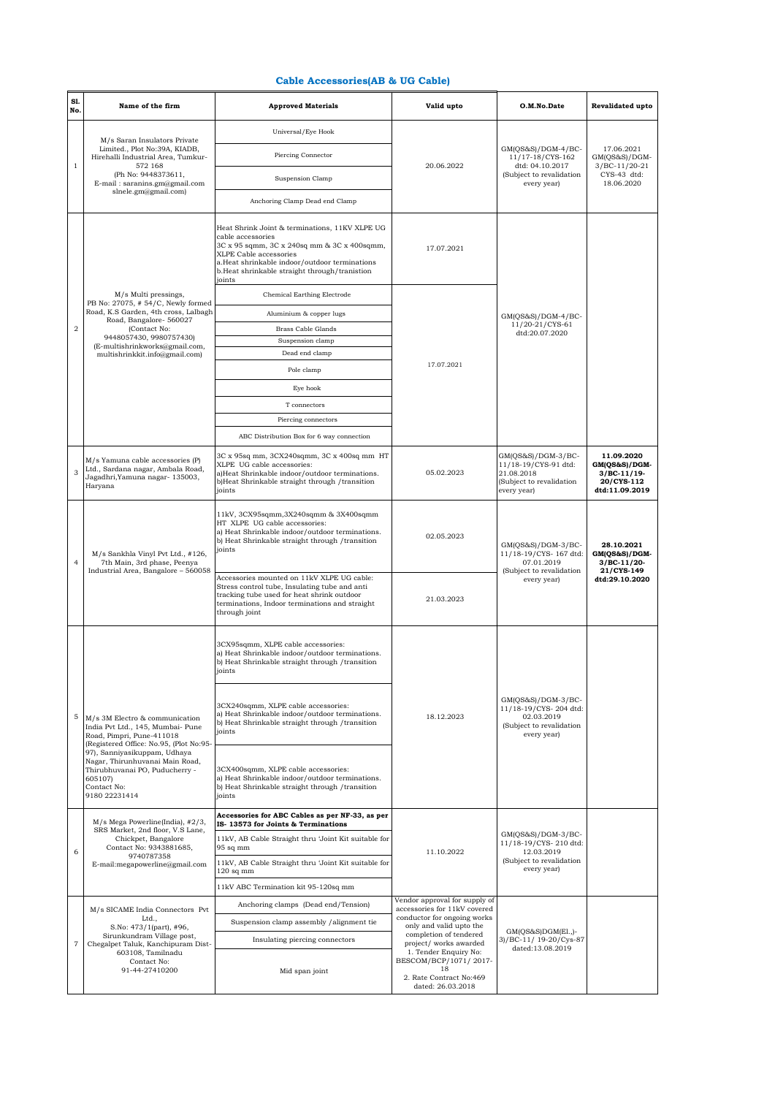## **Cable Accessories(AB & UG Cable)**

| Sl.<br>No.              | Name of the firm                                                                                                                                                                                                                                                                            | <b>Approved Materials</b>                                                                                                                                                                                                                                | Valid upto                                                                                                                                                                                                                                                                          | O.M.No.Date                                                                                            | <b>Revalidated upto</b>                                                       |
|-------------------------|---------------------------------------------------------------------------------------------------------------------------------------------------------------------------------------------------------------------------------------------------------------------------------------------|----------------------------------------------------------------------------------------------------------------------------------------------------------------------------------------------------------------------------------------------------------|-------------------------------------------------------------------------------------------------------------------------------------------------------------------------------------------------------------------------------------------------------------------------------------|--------------------------------------------------------------------------------------------------------|-------------------------------------------------------------------------------|
| $\,1\,$                 | M/s Saran Insulators Private<br>Limited., Plot No:39A, KIADB,<br>Hirehalli Industrial Area, Tumkur-<br>572 168<br>(Ph No: 9448373611,<br>E-mail: saranins.gm@gmail.com<br>slnele.gm@gmail.com)                                                                                              | Universal/Eye Hook                                                                                                                                                                                                                                       | 20.06.2022                                                                                                                                                                                                                                                                          | $GM(QS&S)/DGM-4/BC-$<br>11/17-18/CYS-162<br>dtd: 04.10.2017<br>(Subject to revalidation<br>every year) | 17.06.2021<br>$GM(QS&S)/DGM-$<br>$3/BC-11/20-21$<br>CYS-43 dtd:<br>18.06.2020 |
|                         |                                                                                                                                                                                                                                                                                             | Piercing Connector                                                                                                                                                                                                                                       |                                                                                                                                                                                                                                                                                     |                                                                                                        |                                                                               |
|                         |                                                                                                                                                                                                                                                                                             | Suspension Clamp                                                                                                                                                                                                                                         |                                                                                                                                                                                                                                                                                     |                                                                                                        |                                                                               |
|                         |                                                                                                                                                                                                                                                                                             | Anchoring Clamp Dead end Clamp                                                                                                                                                                                                                           |                                                                                                                                                                                                                                                                                     |                                                                                                        |                                                                               |
|                         | M/s Multi pressings,<br>PB No: 27075, #54/C, Newly formed<br>Road, K.S Garden, 4th cross, Lalbagh<br>Road, Bangalore- 560027<br>(Contact No:<br>9448057430, 9980757430)<br>(E-multishrinkworks@gmail.com,<br>multishrinkkit.info@gmail.com)                                                 | Heat Shrink Joint & terminations, 11KV XLPE UG<br>cable accessories<br>3C x 95 sqmm, 3C x 240sq mm & 3C x 400sqmm,<br>XLPE Cable accessories<br>a.Heat shrinkable indoor/outdoor terminations<br>b.Heat shrinkable straight through/tranistion<br>joints | 17.07.2021                                                                                                                                                                                                                                                                          | $GM(QS&S)/DGM-4/BC-$<br>11/20-21/CYS-61<br>dtd:20.07.2020                                              |                                                                               |
|                         |                                                                                                                                                                                                                                                                                             | Chemical Earthing Electrode                                                                                                                                                                                                                              | 17.07.2021                                                                                                                                                                                                                                                                          |                                                                                                        |                                                                               |
|                         |                                                                                                                                                                                                                                                                                             | Aluminium & copper lugs                                                                                                                                                                                                                                  |                                                                                                                                                                                                                                                                                     |                                                                                                        |                                                                               |
| $\overline{\mathbf{2}}$ |                                                                                                                                                                                                                                                                                             | <b>Brass Cable Glands</b>                                                                                                                                                                                                                                |                                                                                                                                                                                                                                                                                     |                                                                                                        |                                                                               |
|                         |                                                                                                                                                                                                                                                                                             | Suspension clamp                                                                                                                                                                                                                                         |                                                                                                                                                                                                                                                                                     |                                                                                                        |                                                                               |
|                         |                                                                                                                                                                                                                                                                                             | Dead end clamp                                                                                                                                                                                                                                           |                                                                                                                                                                                                                                                                                     |                                                                                                        |                                                                               |
|                         |                                                                                                                                                                                                                                                                                             | Pole clamp                                                                                                                                                                                                                                               |                                                                                                                                                                                                                                                                                     |                                                                                                        |                                                                               |
|                         |                                                                                                                                                                                                                                                                                             | Eye hook                                                                                                                                                                                                                                                 |                                                                                                                                                                                                                                                                                     |                                                                                                        |                                                                               |
|                         |                                                                                                                                                                                                                                                                                             | T connectors                                                                                                                                                                                                                                             |                                                                                                                                                                                                                                                                                     |                                                                                                        |                                                                               |
|                         |                                                                                                                                                                                                                                                                                             | Piercing connectors                                                                                                                                                                                                                                      |                                                                                                                                                                                                                                                                                     |                                                                                                        |                                                                               |
|                         |                                                                                                                                                                                                                                                                                             | ABC Distribution Box for 6 way connection                                                                                                                                                                                                                |                                                                                                                                                                                                                                                                                     |                                                                                                        |                                                                               |
| 3                       | M/s Yamuna cable accessories (P)<br>Ltd., Sardana nagar, Ambala Road,<br>Jagadhri, Yamuna nagar- 135003,<br>Haryana                                                                                                                                                                         | 3C x 95sq mm, 3CX240sqmm, 3C x 400sq mm HT<br>XLPE UG cable accessories:<br>a)Heat Shrinkable indoor/outdoor terminations.                                                                                                                               | 05.02.2023                                                                                                                                                                                                                                                                          | GM(QS&S)/DGM-3/BC-<br>11/18-19/CYS-91 dtd:<br>21.08.2018<br>(Subject to revalidation<br>every year)    | 11.09.2020<br>GM(QS&S)/DGM-<br>$3/BC-11/19-$                                  |
|                         |                                                                                                                                                                                                                                                                                             | b)Heat Shrinkable straight through /transition<br>joints                                                                                                                                                                                                 |                                                                                                                                                                                                                                                                                     |                                                                                                        | 20/CYS-112<br>dtd:11.09.2019                                                  |
| $\overline{4}$          | M/s Sankhla Vinyl Pvt Ltd., #126,<br>7th Main, 3rd phase, Peenya<br>Industrial Area, Bangalore - 560058                                                                                                                                                                                     | 11kV, 3CX95sqmm, 3X240sqmm & 3X400sqmm<br>HT XLPE UG cable accessories:<br>a) Heat Shrinkable indoor/outdoor terminations.<br>b) Heat Shrinkable straight through /transition<br>joints                                                                  | 02.05.2023                                                                                                                                                                                                                                                                          | GM(QS&S)/DGM-3/BC-<br>11/18-19/CYS- 167 dtd:<br>07.01.2019<br>(Subject to revalidation<br>every year)  | 28.10.2021<br>GM(QS&S)/DGM-<br>$3/BC-11/20-$<br>21/CYS-149<br>dtd:29.10.2020  |
|                         |                                                                                                                                                                                                                                                                                             | Accessories mounted on 11kV XLPE UG cable:<br>Stress control tube, Insulating tube and anti<br>tracking tube used for heat shrink outdoor<br>terminations, Indoor terminations and straight<br>through joint                                             | 21.03.2023                                                                                                                                                                                                                                                                          |                                                                                                        |                                                                               |
| 5                       | M/s 3M Electro & communication<br>India Pvt Ltd., 145, Mumbai- Pune<br>Road, Pimpri, Pune-411018<br>(Registered Office: No.95, (Plot No:95-<br>97), Sanniyasikuppam, Udhaya<br>Nagar, Thirunhuvanai Main Road,<br>Thirubhuvanai PO, Puducherry -<br>605107)<br>Contact No:<br>9180 22231414 | 3CX95sqmm, XLPE cable accessories:<br>a) Heat Shrinkable indoor/outdoor terminations.<br>b) Heat Shrinkable straight through /transition<br>joints                                                                                                       | 18.12.2023                                                                                                                                                                                                                                                                          | GM(QS&S)/DGM-3/BC-<br>11/18-19/CYS-204 dtd:<br>02.03.2019<br>(Subject to revalidation<br>every year)   |                                                                               |
|                         |                                                                                                                                                                                                                                                                                             | 3CX240sqmm, XLPE cable accessories:<br>a) Heat Shrinkable indoor/outdoor terminations.<br>b) Heat Shrinkable straight through /transition<br>joints                                                                                                      |                                                                                                                                                                                                                                                                                     |                                                                                                        |                                                                               |
|                         |                                                                                                                                                                                                                                                                                             | 3CX400sqmm, XLPE cable accessories:<br>a) Heat Shrinkable indoor/outdoor terminations.<br>b) Heat Shrinkable straight through /transition<br>joints                                                                                                      |                                                                                                                                                                                                                                                                                     |                                                                                                        |                                                                               |
| 6                       | M/s Mega Powerline(India), #2/3,<br>SRS Market, 2nd floor, V.S Lane,<br>Chickpet, Bangalore<br>Contact No: 9343881685,<br>9740787358<br>E-mail:megapowerline@gmail.com                                                                                                                      | Accessories for ABC Cables as per NF-33, as per<br>IS-13573 for Joints & Terminations                                                                                                                                                                    | 11.10.2022                                                                                                                                                                                                                                                                          |                                                                                                        |                                                                               |
|                         |                                                                                                                                                                                                                                                                                             | 11kV, AB Cable Straight thru 'Joint Kit suitable for<br>95 sq mm                                                                                                                                                                                         |                                                                                                                                                                                                                                                                                     | GM(QS&S)/DGM-3/BC-<br>11/18-19/CYS-210 dtd:<br>12.03.2019<br>(Subject to revalidation<br>every year)   |                                                                               |
|                         |                                                                                                                                                                                                                                                                                             | 11kV, AB Cable Straight thru 'Joint Kit suitable for<br>$120$ sq mm                                                                                                                                                                                      |                                                                                                                                                                                                                                                                                     |                                                                                                        |                                                                               |
|                         |                                                                                                                                                                                                                                                                                             | 11kV ABC Termination kit 95-120sq mm                                                                                                                                                                                                                     |                                                                                                                                                                                                                                                                                     |                                                                                                        |                                                                               |
| $\overline{7}$          | M/s SICAME India Connectors Pvt<br>Ltd.,<br>S.No: 473/1(part), #96,<br>Sirunkundram Village post,<br>Chegalpet Taluk, Kanchipuram Dist-<br>603108, Tamilnadu<br>Contact No:<br>91-44-27410200                                                                                               | Anchoring clamps (Dead end/Tension)                                                                                                                                                                                                                      | Vendor approval for supply of<br>accessories for 11kV covered<br>conductor for ongoing works<br>only and valid upto the<br>completion of tendered<br>project/ works awarded<br>1. Tender Enquiry No:<br>BESCOM/BCP/1071/2017-<br>18<br>2. Rate Contract No:469<br>dated: 26.03.2018 | $GM(QS&S)DGM(E1, )-$<br>3)/BC-11/ 19-20/Cys-87<br>dated:13.08.2019                                     |                                                                               |
|                         |                                                                                                                                                                                                                                                                                             | Suspension clamp assembly /alignment tie                                                                                                                                                                                                                 |                                                                                                                                                                                                                                                                                     |                                                                                                        |                                                                               |
|                         |                                                                                                                                                                                                                                                                                             | Insulating piercing connectors                                                                                                                                                                                                                           |                                                                                                                                                                                                                                                                                     |                                                                                                        |                                                                               |
|                         |                                                                                                                                                                                                                                                                                             | Mid span joint                                                                                                                                                                                                                                           |                                                                                                                                                                                                                                                                                     |                                                                                                        |                                                                               |
|                         |                                                                                                                                                                                                                                                                                             |                                                                                                                                                                                                                                                          |                                                                                                                                                                                                                                                                                     |                                                                                                        |                                                                               |